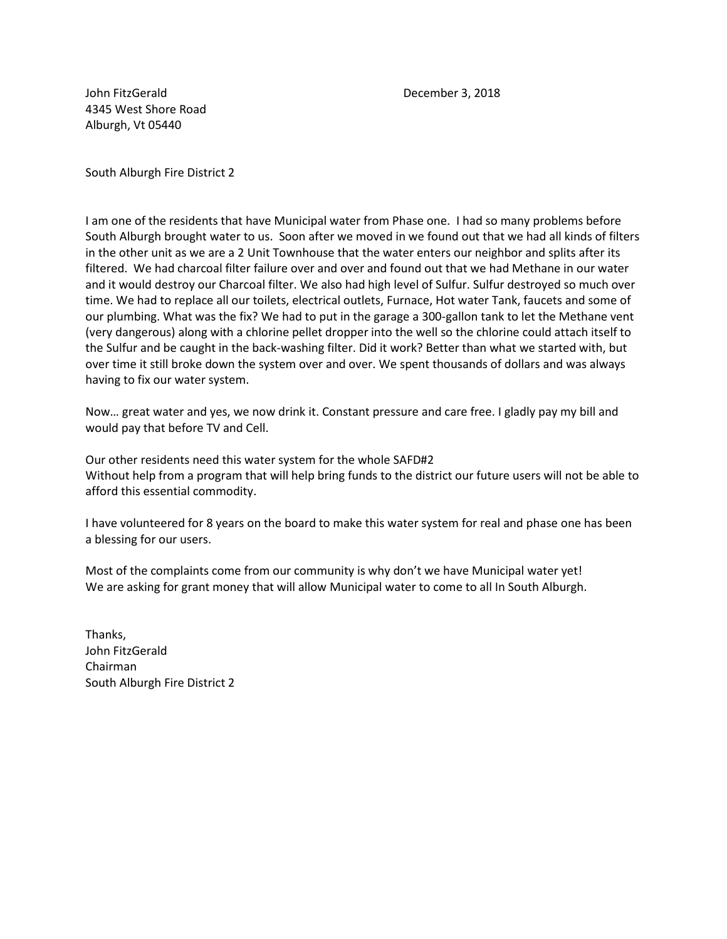John FitzGerald December 3, 2018 4345 West Shore Road Alburgh, Vt 05440

South Alburgh Fire District 2

I am one of the residents that have Municipal water from Phase one. I had so many problems before South Alburgh brought water to us. Soon after we moved in we found out that we had all kinds of filters in the other unit as we are a 2 Unit Townhouse that the water enters our neighbor and splits after its filtered. We had charcoal filter failure over and over and found out that we had Methane in our water and it would destroy our Charcoal filter. We also had high level of Sulfur. Sulfur destroyed so much over time. We had to replace all our toilets, electrical outlets, Furnace, Hot water Tank, faucets and some of our plumbing. What was the fix? We had to put in the garage a 300-gallon tank to let the Methane vent (very dangerous) along with a chlorine pellet dropper into the well so the chlorine could attach itself to the Sulfur and be caught in the back-washing filter. Did it work? Better than what we started with, but over time it still broke down the system over and over. We spent thousands of dollars and was always having to fix our water system.

Now… great water and yes, we now drink it. Constant pressure and care free. I gladly pay my bill and would pay that before TV and Cell.

Our other residents need this water system for the whole SAFD#2 Without help from a program that will help bring funds to the district our future users will not be able to afford this essential commodity.

I have volunteered for 8 years on the board to make this water system for real and phase one has been a blessing for our users.

Most of the complaints come from our community is why don't we have Municipal water yet! We are asking for grant money that will allow Municipal water to come to all In South Alburgh.

Thanks, John FitzGerald Chairman South Alburgh Fire District 2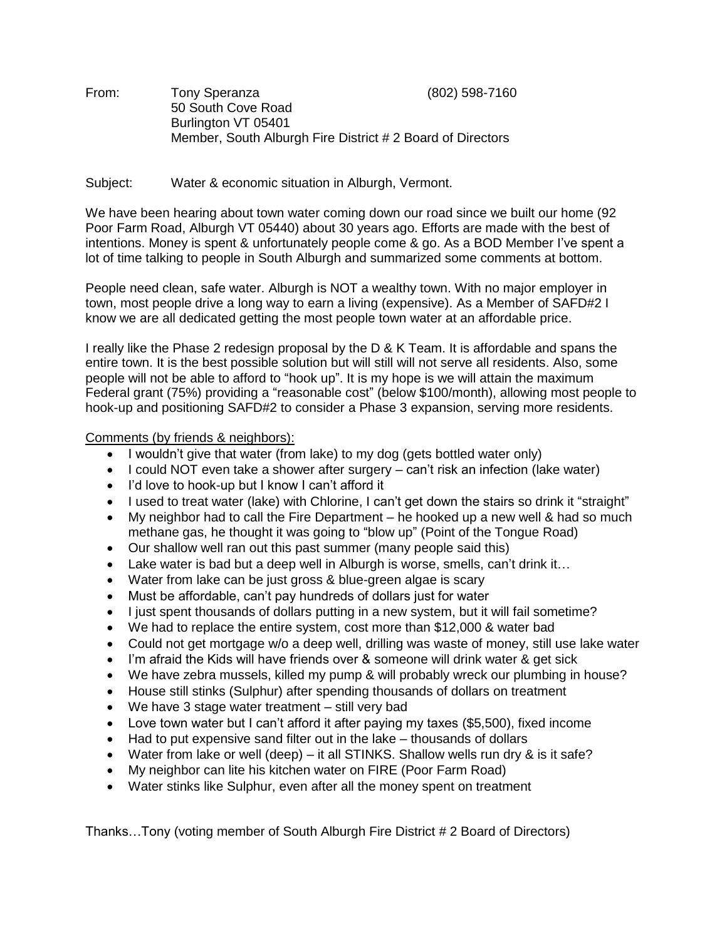From: Tony Speranza (802) 598-7160 50 South Cove Road Burlington VT 05401 Member, South Alburgh Fire District # 2 Board of Directors

Subject: Water & economic situation in Alburgh, Vermont.

We have been hearing about town water coming down our road since we built our home (92 Poor Farm Road, Alburgh VT 05440) about 30 years ago. Efforts are made with the best of intentions. Money is spent & unfortunately people come & go. As a BOD Member I've spent a lot of time talking to people in South Alburgh and summarized some comments at bottom.

People need clean, safe water. Alburgh is NOT a wealthy town. With no major employer in town, most people drive a long way to earn a living (expensive). As a Member of SAFD#2 I know we are all dedicated getting the most people town water at an affordable price.

I really like the Phase 2 redesign proposal by the D & K Team. It is affordable and spans the entire town. It is the best possible solution but will still will not serve all residents. Also, some people will not be able to afford to "hook up". It is my hope is we will attain the maximum Federal grant (75%) providing a "reasonable cost" (below \$100/month), allowing most people to hook-up and positioning SAFD#2 to consider a Phase 3 expansion, serving more residents.

Comments (by friends & neighbors):

- I wouldn't give that water (from lake) to my dog (gets bottled water only)
- I could NOT even take a shower after surgery can't risk an infection (lake water)
- I'd love to hook-up but I know I can't afford it
- I used to treat water (lake) with Chlorine, I can't get down the stairs so drink it "straight"
- My neighbor had to call the Fire Department  $-$  he hooked up a new well & had so much methane gas, he thought it was going to "blow up" (Point of the Tongue Road)
- Our shallow well ran out this past summer (many people said this)
- Lake water is bad but a deep well in Alburgh is worse, smells, can't drink it…
- Water from lake can be just gross & blue-green algae is scary
- Must be affordable, can't pay hundreds of dollars just for water
- $\bullet$  I just spent thousands of dollars putting in a new system, but it will fail sometime?
- We had to replace the entire system, cost more than \$12,000 & water bad
- Could not get mortgage w/o a deep well, drilling was waste of money, still use lake water
- I'm afraid the Kids will have friends over & someone will drink water & get sick
- We have zebra mussels, killed my pump & will probably wreck our plumbing in house?
- House still stinks (Sulphur) after spending thousands of dollars on treatment
- We have 3 stage water treatment still very bad
- Love town water but I can't afford it after paying my taxes (\$5,500), fixed income
- Had to put expensive sand filter out in the lake thousands of dollars
- Water from lake or well (deep) it all STINKS. Shallow wells run dry & is it safe?
- My neighbor can lite his kitchen water on FIRE (Poor Farm Road)
- Water stinks like Sulphur, even after all the money spent on treatment

Thanks…Tony (voting member of South Alburgh Fire District # 2 Board of Directors)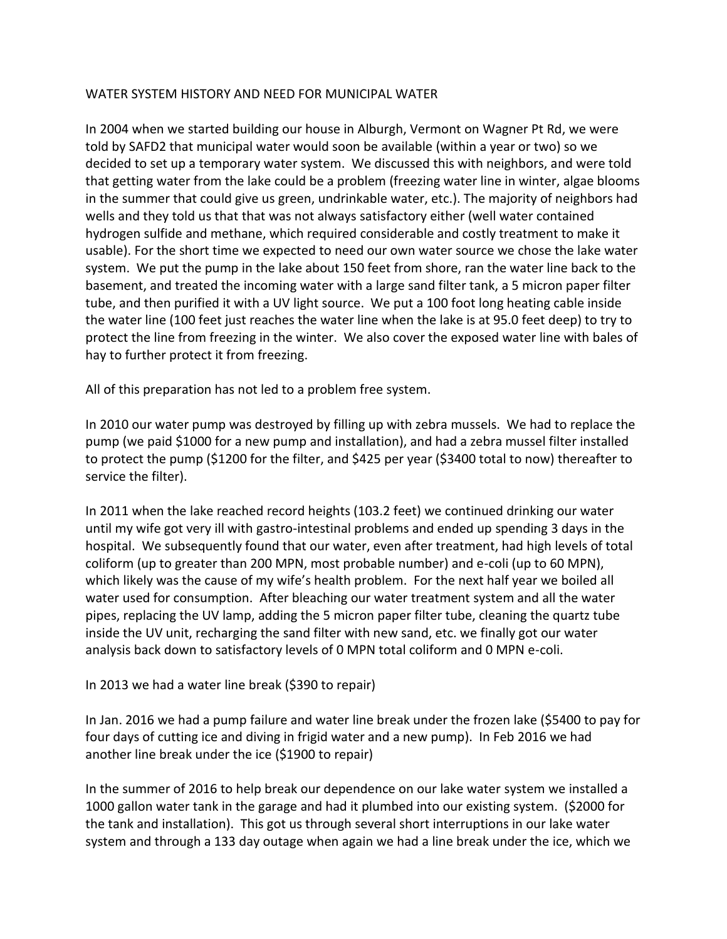## WATER SYSTEM HISTORY AND NEED FOR MUNICIPAL WATER

In 2004 when we started building our house in Alburgh, Vermont on Wagner Pt Rd, we were told by SAFD2 that municipal water would soon be available (within a year or two) so we decided to set up a temporary water system. We discussed this with neighbors, and were told that getting water from the lake could be a problem (freezing water line in winter, algae blooms in the summer that could give us green, undrinkable water, etc.). The majority of neighbors had wells and they told us that that was not always satisfactory either (well water contained hydrogen sulfide and methane, which required considerable and costly treatment to make it usable). For the short time we expected to need our own water source we chose the lake water system. We put the pump in the lake about 150 feet from shore, ran the water line back to the basement, and treated the incoming water with a large sand filter tank, a 5 micron paper filter tube, and then purified it with a UV light source. We put a 100 foot long heating cable inside the water line (100 feet just reaches the water line when the lake is at 95.0 feet deep) to try to protect the line from freezing in the winter. We also cover the exposed water line with bales of hay to further protect it from freezing.

All of this preparation has not led to a problem free system.

In 2010 our water pump was destroyed by filling up with zebra mussels. We had to replace the pump (we paid \$1000 for a new pump and installation), and had a zebra mussel filter installed to protect the pump (\$1200 for the filter, and \$425 per year (\$3400 total to now) thereafter to service the filter).

In 2011 when the lake reached record heights (103.2 feet) we continued drinking our water until my wife got very ill with gastro-intestinal problems and ended up spending 3 days in the hospital. We subsequently found that our water, even after treatment, had high levels of total coliform (up to greater than 200 MPN, most probable number) and e-coli (up to 60 MPN), which likely was the cause of my wife's health problem. For the next half year we boiled all water used for consumption. After bleaching our water treatment system and all the water pipes, replacing the UV lamp, adding the 5 micron paper filter tube, cleaning the quartz tube inside the UV unit, recharging the sand filter with new sand, etc. we finally got our water analysis back down to satisfactory levels of 0 MPN total coliform and 0 MPN e-coli.

In 2013 we had a water line break (\$390 to repair)

In Jan. 2016 we had a pump failure and water line break under the frozen lake (\$5400 to pay for four days of cutting ice and diving in frigid water and a new pump). In Feb 2016 we had another line break under the ice (\$1900 to repair)

In the summer of 2016 to help break our dependence on our lake water system we installed a 1000 gallon water tank in the garage and had it plumbed into our existing system. (\$2000 for the tank and installation). This got us through several short interruptions in our lake water system and through a 133 day outage when again we had a line break under the ice, which we